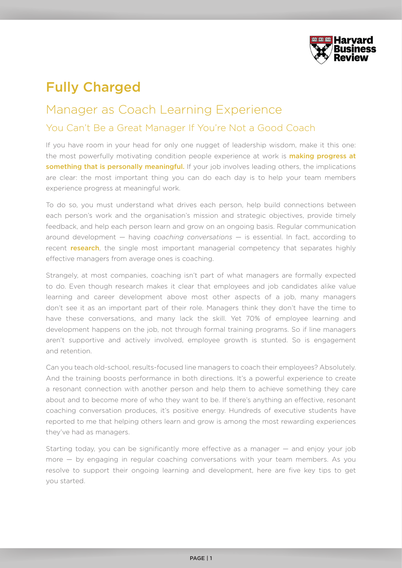

## Fully Charged

## Manager as Coach Learning Experience

## You Can't Be a Great Manager If You're Not a Good Coach

If you have room in your head for only one nugget of leadership wisdom, make it this one: the most powerfully motivating condition people experience at work is **making progress at** something that is personally meaningful. If your job involves leading others, the implications are clear: the most important thing you can do each day is to help your team members experience progress at meaningful work.

To do so, you must understand what drives each person, help build connections between each person's work and the organisation's mission and strategic objectives, provide timely feedback, and help each person learn and grow on an ongoing basis. Regular communication around development — having *coaching conversations —* is essential. In fact, according to recent **research**, the single most important managerial competency that separates highly effective managers from average ones is coaching.

Strangely, at most companies, coaching isn't part of what managers are formally expected to do. Even though research makes it clear that employees and job candidates alike value learning and career development above most other aspects of a job, many managers don't see it as an important part of their role. Managers think they don't have the time to have these conversations, and many lack the skill. Yet 70% of employee learning and development happens on the job, not through formal training programs. So if line managers aren't supportive and actively involved, employee growth is stunted. So is engagement and retention.

Can you teach old-school, results-focused line managers to coach their employees? Absolutely. And the training boosts performance in both directions. It's a powerful experience to create a resonant connection with another person and help them to achieve something they care about and to become more of who they want to be. If there's anything an effective, resonant coaching conversation produces, it's positive energy. Hundreds of executive students have reported to me that helping others learn and grow is among the most rewarding experiences they've had as managers.

Starting today, you can be significantly more effective as a manager — and enjoy your job more — by engaging in regular coaching conversations with your team members. As you resolve to support their ongoing learning and development, here are five key tips to get you started.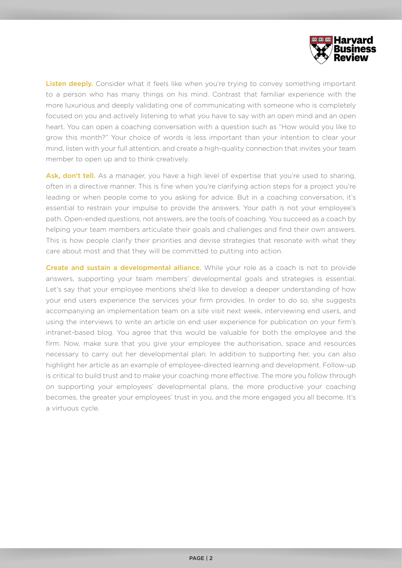

Listen deeply. Consider what it feels like when you're trying to convey something important to a person who has many things on his mind. Contrast that familiar experience with the more luxurious and deeply validating one of communicating with someone who is completely focused on you and actively listening to what you have to say with an open mind and an open heart. You can open a coaching conversation with a question such as "How would you like to grow this month?" Your choice of words is less important than your intention to clear your mind, listen with your full attention, and create a high-quality connection that invites your team member to open up and to think creatively.

Ask, don't tell. As a manager, you have a high level of expertise that you're used to sharing, often in a directive manner. This is fine when you're clarifying action steps for a project you're leading or when people come to you asking for advice. But in a coaching conversation, it's essential to restrain your impulse to provide the answers. Your path is not your employee's path. Open-ended questions, not answers, are the tools of coaching. You succeed as a coach by helping your team members articulate their goals and challenges and find their own answers. This is how people clarify their priorities and devise strategies that resonate with what they care about most and that they will be committed to putting into action.

Create and sustain a developmental alliance. While your role as a coach is not to provide answers, supporting your team members' developmental goals and strategies is essential. Let's say that your employee mentions she'd like to develop a deeper understanding of how your end users experience the services your firm provides. In order to do so, she suggests accompanying an implementation team on a site visit next week, interviewing end users, and using the interviews to write an article on end user experience for publication on your firm's intranet-based blog. You agree that this would be valuable for both the employee and the firm. Now, make sure that you give your employee the authorisation, space and resources necessary to carry out her developmental plan. In addition to supporting her, you can also highlight her article as an example of employee-directed learning and development. Follow-up is critical to build trust and to make your coaching more effective. The more you follow through on supporting your employees' developmental plans, the more productive your coaching becomes, the greater your employees' trust in you, and the more engaged you all become. It's a virtuous cycle.